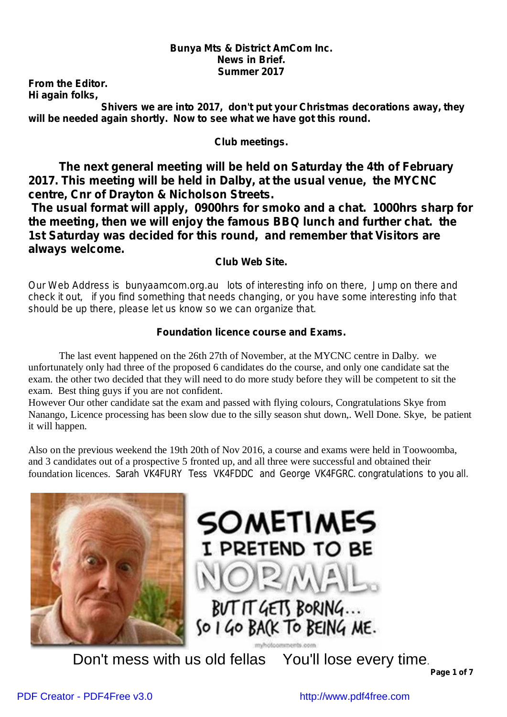#### *Bunya Mts & District AmCom Inc. News in Brief. Summer 2017*

*From the Editor. Hi again folks,*

*Shivers we are into 2017, don't put your Christmas decorations away, they will be needed again shortly. Now to see what we have got this round.*

#### *Club meetings.*

*The next general meeting will be held on Saturday the 4th of February 2017. This meeting will be held in Dalby, at the usual venue, the MYCNC centre, Cnr of Drayton & Nicholson Streets.*

*The usual format will apply, 0900hrs for smoko and a chat. 1000hrs sharp for the meeting, then we will enjoy the famous BBQ lunch and further chat. the 1st Saturday was decided for this round, and remember that Visitors are always welcome.*

#### *Club Web Site.*

*Our Web Address is bunyaamcom.org.au lots of interesting info on there, Jump on there and check it out, if you find something that needs changing, or you have some interesting info that should be up there, please let us know so we can organize that.*

#### *Foundation licence course and Exams.*

The last event happened on the 26th 27th of November, at the MYCNC centre in Dalby. we unfortunately only had three of the proposed 6 candidates do the course, and only one candidate sat the exam. the other two decided that they will need to do more study before they will be competent to sit the exam. Best thing guys if you are not confident.

However Our other candidate sat the exam and passed with flying colours, Congratulations Skye from Nanango, Licence processing has been slow due to the silly season shut down,. Well Done. Skye, be patient it will happen.

Also on the previous weekend the 19th 20th of Nov 2016, a course and exams were held in Toowoomba, and 3 candidates out of a prospective 5 fronted up, and all three were successful and obtained their foundation licences. Sarah VK4FURY Tess VK4FDDC and George VK4FGRC. congratulations to you all.





Don't mess with us old fellas You'll lose every time.

**Page 1 of 7**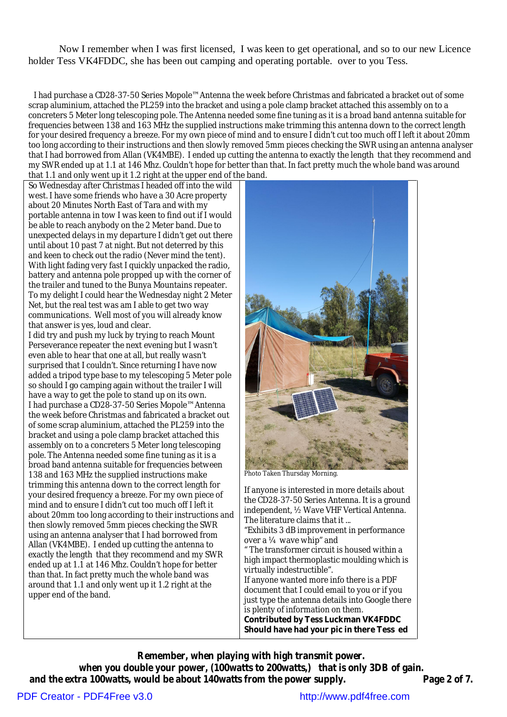#### Now I remember when I was first licensed, I was keen to get operational, and so to our new Licence holder Tess VK4FDDC, she has been out camping and operating portable. over to you Tess.

I had purchase a CD28-37-50 Series Mopole™ Antenna the week before Christmas and fabricated a bracket out of some scrap aluminium, attached the PL259 into the bracket and using a pole clamp bracket attached this assembly on to a concreters 5 Meter long telescoping pole. The Antenna needed some fine tuning as it is a broad band antenna suitable for frequencies between 138 and 163 MHz the supplied instructions make trimming this antenna down to the correct length for your desired frequency a breeze. For my own piece of mind and to ensure I didn't cut too much off I left it about 20mm too long according to their instructions and then slowly removed 5mm pieces checking the SWR using an antenna analyser that I had borrowed from Allan (VK4MBE). I ended up cutting the antenna to exactly the length that they recommend and my SWR ended up at 1.1 at 146 Mhz. Couldn't hope for better than that. In fact pretty much the whole band was around that 1.1 and only went up it 1.2 right at the upper end of the band.

So Wednesday after Christmas I headed off into the wild west. I have some friends who have a 30 Acre property about 20 Minutes North East of Tara and with my portable antenna in tow I was keen to find out if I would be able to reach anybody on the 2 Meter band. Due to unexpected delays in my departure I didn't get out there until about 10 past 7 at night. But not deterred by this and keen to check out the radio (Never mind the tent). With light fading very fast I quickly unpacked the radio. battery and antenna pole propped up with the corner of the trailer and tuned to the Bunya Mountains repeater. To my delight I could hear the Wednesday night 2 Meter Net, but the real test was am I able to get two way communications. Well most of you will already know that answer is yes, loud and clear.

I did try and push my luck by trying to reach Mount Perseverance repeater the next evening but I wasn't even able to hear that one at all, but really wasn't surprised that I couldn't. Since returning I have now added a tripod type base to my telescoping 5 Meter pole so should I go camping again without the trailer I will have a way to get the pole to stand up on its own. I had purchase a CD28-37-50 Series Mopole™ Antenna the week before Christmas and fabricated a bracket out of some scrap aluminium, attached the PL259 into the bracket and using a pole clamp bracket attached this assembly on to a concreters 5 Meter long telescoping pole. The Antenna needed some fine tuning as it is a broad band antenna suitable for frequencies between 138 and 163 MHz the supplied instructions make trimming this antenna down to the correct length for your desired frequency a breeze. For my own piece of mind and to ensure I didn't cut too much off I left it about 20mm too long according to their instructions and then slowly removed 5mm pieces checking the SWR using an antenna analyser that I had borrowed from Allan (VK4MBE). I ended up cutting the antenna to exactly the length that they recommend and my SWR ended up at 1.1 at 146 Mhz. Couldn't hope for better than that. In fact pretty much the whole band was around that 1.1 and only went up it 1.2 right at the upper end of the band.



Photo Taken Thursday Morning.

If anyone is interested in more details about the CD28-37-50 Series Antenna. It is a ground independent, ½ Wave VHF Vertical Antenna. The literature claims that it ...

"Exhibits 3 dB improvement in performance over a ¼ wave whip" and

" The transformer circuit is housed within a high impact thermoplastic moulding which is virtually indestructible".

If anyone wanted more info there is a PDF document that I could email to you or if you just type the antenna details into Google there is plenty of information on them. **Contributed by Tess Luckman VK4FDDC Should have had your pic in there Tess ed**

**Remember, when playing with high transmit power. when you double your power, (100watts to 200watts,) that is only 3DB of gain. and the extra 100watts, would be about 140watts from the power supply. Page 2 of 7.**

[PDF Creator - PDF4Free v3.0 http://www.pdf4free.com](http://www.pdfpdf.com/0.htm)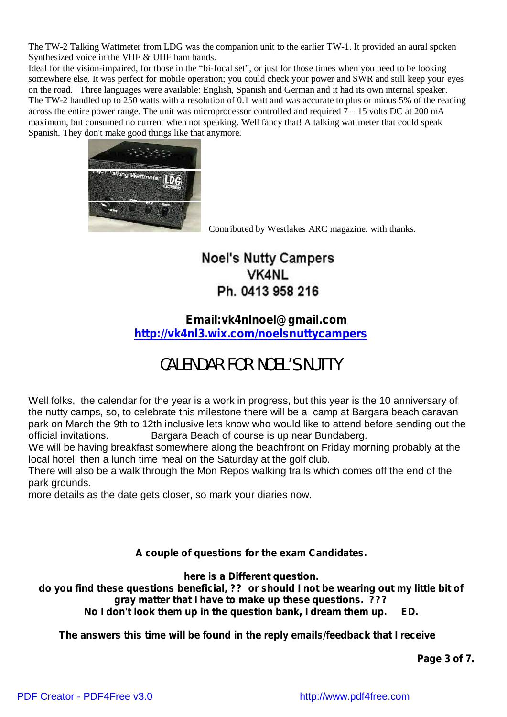The TW-2 Talking Wattmeter from LDG was the companion unit to the earlier TW-1. It provided an aural spoken Synthesized voice in the VHF & UHF ham bands.

Ideal for the vision-impaired, for those in the "bi-focal set", or just for those times when you need to be looking somewhere else. It was perfect for mobile operation; you could check your power and SWR and still keep your eyes on the road. Three languages were available: English, Spanish and German and it had its own internal speaker. The TW-2 handled up to 250 watts with a resolution of 0.1 watt and was accurate to plus or minus 5% of the reading across the entire power range. The unit was microprocessor controlled and required  $\overline{7}$  – 15 volts DC at 200 mA maximum, but consumed no current when not speaking. Well fancy that! A talking wattmeter that could speak Spanish. They don't make good things like that anymore.



Contributed by Westlakes ARC magazine. with thanks.

## **Noel's Nutty Campers** VK4NL Ph. 0413 958 216

## **Email:vk4nlnoel@gmail.com**

**<http://vk4nl3.wix.com/noelsnuttycampers>**

# CALENDAR FOR NOEL'S NUTTY

Well folks, the calendar for the year is a work in progress, but this year is the 10 anniversary of the nutty camps, so, to celebrate this milestone there will be a camp at Bargara beach caravan park on March the 9th to 12th inclusive lets know who would like to attend before sending out the official invitations. Bargara Beach of course is up near Bundaberg.

We will be having breakfast somewhere along the beachfront on Friday morning probably at the local hotel, then a lunch time meal on the Saturday at the golf club.

There will also be a walk through the Mon Repos walking trails which comes off the end of the park grounds.

more details as the date gets closer, so mark your diaries now.

**A couple of questions for the exam Candidates.**

**here is a Different question. do you find these questions beneficial, ?? or should I not be wearing out my little bit of gray matter that I have to make up these questions. ??? No I don't look them up in the question bank, I dream them up. ED.**

**The answers this time will be found in the reply emails/feedback that I receive**

**Page 3 of 7.**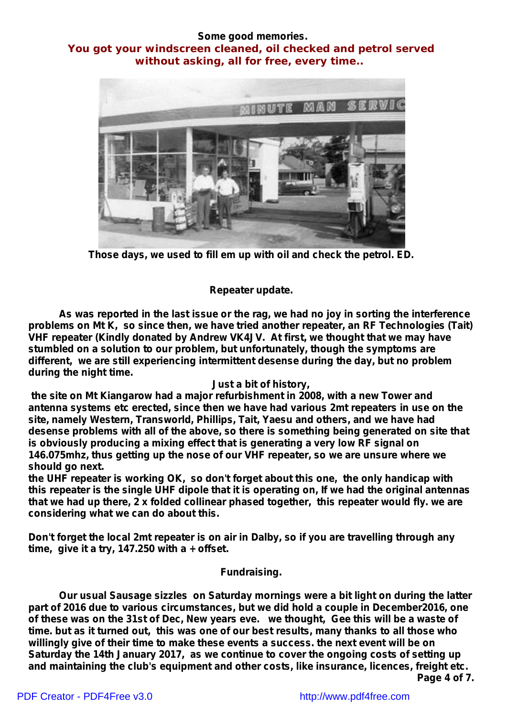#### **Some good memories.**

**You got your windscreen cleaned, oil checked and petrol served without asking, all for free, every time..**



**Those days, we used to fill em up with oil and check the petrol. ED.**

*Repeater update.*

*As was reported in the last issue or the rag, we had no joy in sorting the interference problems on Mt K, so since then, we have tried another repeater, an RF Technologies (Tait) VHF repeater (Kindly donated by Andrew VK4JV. At first, we thought that we may have stumbled on a solution to our problem, but unfortunately, though the symptoms are different, we are still experiencing intermittent desense during the day, but no problem during the night time.*

#### *Just a bit of history,*

*the site on Mt Kiangarow had a major refurbishment in 2008, with a new Tower and antenna systems etc erected, since then we have had various 2mt repeaters in use on the site, namely Western, Transworld, Phillips, Tait, Yaesu and others, and we have had desense problems with all of the above, so there is something being generated on site that is obviously producing a mixing effect that is generating a very low RF signal on 146.075mhz, thus getting up the nose of our VHF repeater, so we are unsure where we should go next.*

*the UHF repeater is working OK, so don't forget about this one, the only handicap with this repeater is the single UHF dipole that it is operating on, If we had the original antennas that we had up there, 2 x folded collinear phased together, this repeater would fly. we are considering what we can do about this.*

*Don't forget the local 2mt repeater is on air in Dalby, so if you are travelling through any time, give it a try, 147.250 with a + offset.*

#### **Fundraising.**

**Our usual Sausage sizzles on Saturday mornings were a bit light on during the latter part of 2016 due to various circumstances, but we did hold a couple in December2016, one** of these was on the 31st of Dec, New years eve. we thought, Gee this will be a waste of **time. but as it turned out, this was one of our best results, many thanks to all those who willingly give of their time to make these events a success. the next event will be on Saturday the 14th January 2017, as we continue to cover the ongoing costs of setting up and maintaining the club's equipment and other costs, like insurance, licences, freight etc. Page 4 of 7.**

[PDF Creator - PDF4Free v3.0 http://www.pdf4free.com](http://www.pdfpdf.com/0.htm)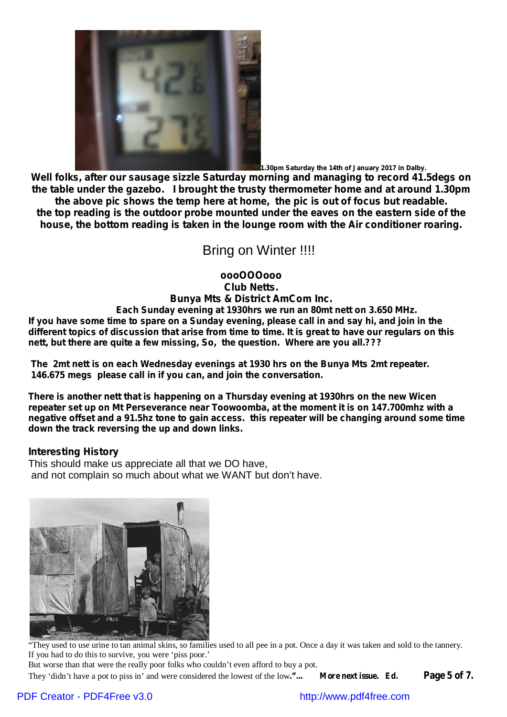

**1.30pm Saturday the 14th of January 2017 in Dalby.**

**Well folks, after our sausage sizzle Saturday morning and managing to record 41.5degs on the table under the gazebo. I brought the trusty thermometer home and at around 1.30pm the above pic shows the temp here at home, the pic is out of focus but readable. the top reading is the outdoor probe mounted under the eaves on the eastern side of the house, the bottom reading is taken in the lounge room with the Air conditioner roaring.**

### Bring on Winter !!!!

**oooOOOooo Club Netts. Bunya Mts & District AmCom Inc.** *Each Sunday evening at 1930hrs we run an 80mt nett on 3.650 MHz.* If you have some time to spare on a Sunday evening, please call in and say hi, and join in the different topics of discussion that arise from time to time. It is great to have our regulars on this *nett, but there are quite a few missing, So, the question. Where are you all.???*

*The 2mt nett is on each Wednesday evenings at 1930 hrs on the Bunya Mts 2mt repeater. 146.675 megs please call in if you can, and join the conversation.*

*There is another nett that is happening on a Thursday evening at 1930hrs on the new Wicen repeater set up on Mt Perseverance near Toowoomba, at the moment it is on 147.700mhz with a negative offset and a 91.5hz tone to gain access. this repeater will be changing around some time down the track reversing the up and down links.*

#### **Interesting History**

This should make us appreciate all that we DO have, and not complain so much about what we WANT but don't have.



"They used to use urine to tan animal skins, so families used to all pee in a pot. Once a day it was taken and sold to the tannery. If you had to do this to survive, you were 'piss poor.'

But worse than that were the really poor folks who couldn't even afford to buy a pot.

They 'didn't have a pot to piss in' and were considered the lowest of the low**."... More next issue. Ed. Page 5 of 7.**

#### [PDF Creator - PDF4Free v3.0 http://www.pdf4free.com](http://www.pdfpdf.com/0.htm)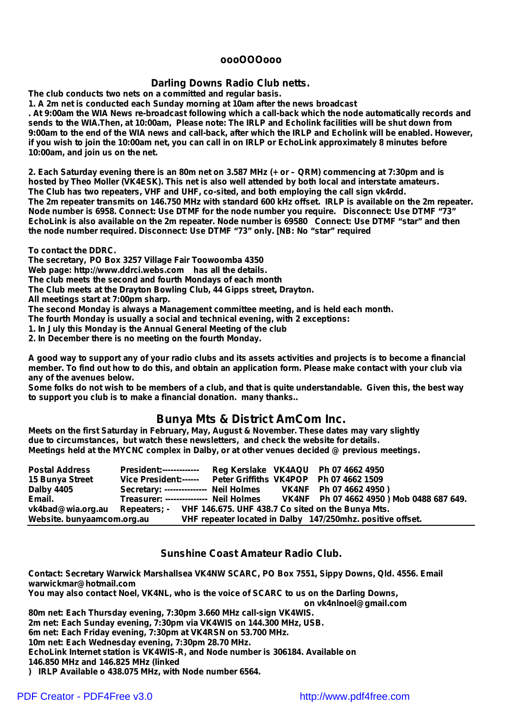#### *oooOOOooo*

#### *Darling Downs Radio Club netts.*

**The club conducts two nets on a committed and regular basis.**

**1. A 2m net is conducted each Sunday morning at 10am after the news broadcast**

. At 9:00am the WIA News re-broadcast following which a call-back which the node automatically records and sends to the WIA. Then, at 10:00am, Please note: The IRLP and Echolink facilities will be shut down from 9:00am to the end of the WIA news and call-back, after which the IRLP and Echolink will be enabled. However, if you wish to join the 10:00am net, you can call in on IRLP or EchoLink approximately 8 minutes before **10:00am, and join us on the net.**

2. Each Saturday evening there is an 80m net on 3.587 MHz (+ or - QRM) commencing at 7:30pm and is **hosted by Theo Moller (VK4ESK). This net is also well attended by both local and interstate amateurs. The Club has two repeaters, VHF and UHF, co-sited, and both employing the call sign vk4rdd.** The 2m repeater transmits on 146,750 MHz with standard 600 kHz offset. IRLP is available on the 2m repeater. **Node number is 6958. Connect: Use DTMF for the node number you require. Disconnect: Use DTMF "73"** EchoLink is also available on the 2m repeater. Node number is 69580 Connect: Use DTMF "star" and then **the node number required. Disconnect: Use DTMF "73" only. [NB: No "star" required**

**To contact the DDRC.**

**The secretary, PO Box 3257 Village Fair Toowoomba 4350**

**Web page: [http://www.ddrci.webs.com](http://www.ddrci.webs.comhas) has all the details.**

**The club meets the second and fourth Mondays of each month**

**The Club meets at the Drayton Bowling Club, 44 Gipps street, Drayton.**

**All meetings start at 7:00pm sharp.**

**The second Monday is always a Management committee meeting, and is held each month.**

**The fourth Monday is usually a social and technical evening, with 2 exceptions:**

**1. In July this Monday is the Annual General Meeting of the club**

**2. In December there is no meeting on the fourth Monday.**

A good way to support any of your radio clubs and its assets activities and projects is to become a financial member. To find out how to do this, and obtain an application form. Please make contact with your club via *any of the avenues below.*

Some folks do not wish to be members of a club, and that is quite understandable. Given this, the best way *to support you club is to make a financial donation. many thanks..*

#### **Bunya Mts & District AmCom Inc.**

**Meets on the first Saturday in February, May, August & November. These dates may vary slightly due to circumstances, but watch these newsletters, and check the website for details. Meetings held at the MYCNC complex in Dalby, or at other venues decided @ previous meetings.**

| <b>Postal Address</b>      | <b>President:-------------</b>                                 |  | Reg Kerslake VK4AQU Ph 07 4662 4950                                             |
|----------------------------|----------------------------------------------------------------|--|---------------------------------------------------------------------------------|
| 15 Bunya Street            | Vice President:------ Peter Griffiths VK4POP Ph 07 4662 1509   |  |                                                                                 |
| <b>Dalby 4405</b>          | Secretary: --------------- Neil Holmes VK4NF Ph 07 4662 4950)  |  |                                                                                 |
| Email.                     |                                                                |  | Treasurer: -------------- Neil Holmes VK4NF Ph 07 4662 4950 ) Mob 0488 687 649. |
| vk4bad@wia.org.au          | Repeaters; - VHF 146.675. UHF 438.7 Co sited on the Bunya Mts. |  |                                                                                 |
| Website. bunyaamcom.org.au |                                                                |  | VHF repeater located in Dalby 147/250mhz. positive offset.                      |

#### **Sunshine Coast Amateur Radio Club.**

**Contact: Secretary Warwick Marshallsea VK4NW SCARC, PO Box 7551, Sippy Downs, Qld. 4556. Email warwickmar@hotmail.com**

**You may also contact Noel, VK4NL, who is the voice of SCARC to us on the Darling Downs,**

**on vk4nlnoel@gmail.com**

**80m net: Each Thursday evening, 7:30pm 3.660 MHz call-sign VK4WIS. 2m net: Each Sunday evening, 7:30pm via VK4WIS on 144.300 MHz, USB. 6m net: Each Friday evening, 7:30pm at VK4RSN on 53.700 MHz. 10m net: Each Wednesday evening, 7:30pm 28.70 MHz. EchoLink Internet station is VK4WIS-R, and Node number is 306184. Available on 146.850 MHz and 146.825 MHz (linked**

**) IRLP Available o 438.075 MHz, with Node number 6564.**